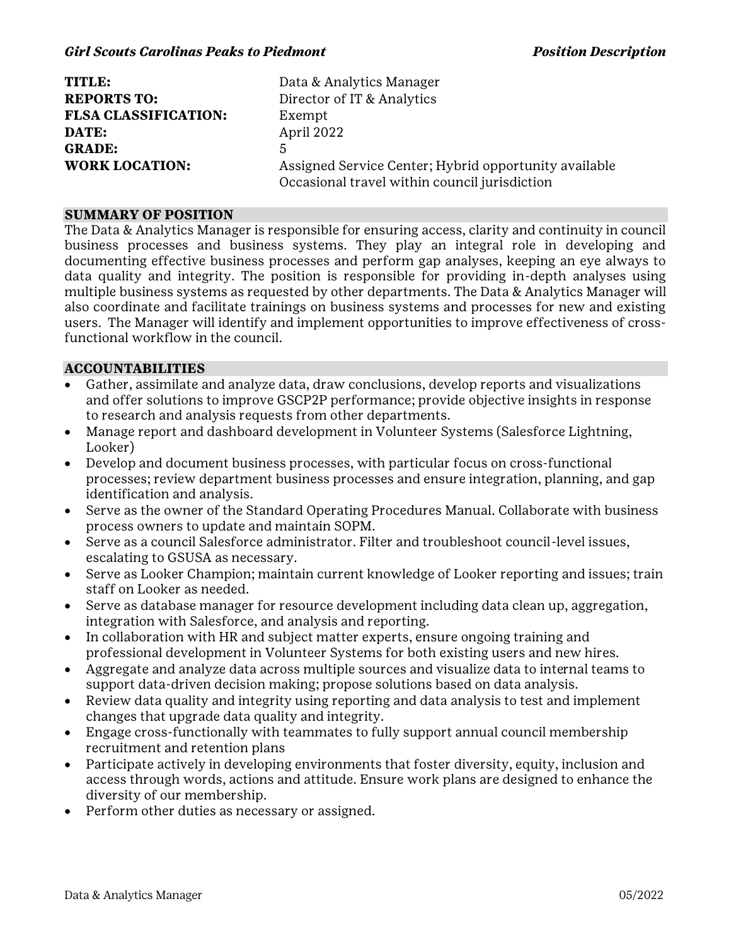| TITLE:                      | Data & Analytics Manager                              |
|-----------------------------|-------------------------------------------------------|
| <b>REPORTS TO:</b>          | Director of IT & Analytics                            |
| <b>FLSA CLASSIFICATION:</b> | Exempt                                                |
| DATE:                       | April 2022                                            |
| <b>GRADE:</b>               | 5                                                     |
| <b>WORK LOCATION:</b>       | Assigned Service Center; Hybrid opportunity available |
|                             | Occasional travel within council jurisdiction         |

#### **SUMMARY OF POSITION**

The Data & Analytics Manager is responsible for ensuring access, clarity and continuity in council business processes and business systems. They play an integral role in developing and documenting effective business processes and perform gap analyses, keeping an eye always to data quality and integrity. The position is responsible for providing in-depth analyses using multiple business systems as requested by other departments. The Data & Analytics Manager will also coordinate and facilitate trainings on business systems and processes for new and existing users. The Manager will identify and implement opportunities to improve effectiveness of crossfunctional workflow in the council.

### **ACCOUNTABILITIES**

- Gather, assimilate and analyze data, draw conclusions, develop reports and visualizations and offer solutions to improve GSCP2P performance; provide objective insights in response to research and analysis requests from other departments.
- · Manage report and dashboard development in Volunteer Systems (Salesforce Lightning, Looker)
- · Develop and document business processes, with particular focus on cross-functional processes; review department business processes and ensure integration, planning, and gap identification and analysis.
- · Serve as the owner of the Standard Operating Procedures Manual. Collaborate with business process owners to update and maintain SOPM.
- · Serve as a council Salesforce administrator. Filter and troubleshoot council-level issues, escalating to GSUSA as necessary.
- · Serve as Looker Champion; maintain current knowledge of Looker reporting and issues; train staff on Looker as needed.
- · Serve as database manager for resource development including data clean up, aggregation, integration with Salesforce, and analysis and reporting.
- · In collaboration with HR and subject matter experts, ensure ongoing training and professional development in Volunteer Systems for both existing users and new hires.
- · Aggregate and analyze data across multiple sources and visualize data to internal teams to support data-driven decision making; propose solutions based on data analysis.
- · Review data quality and integrity using reporting and data analysis to test and implement changes that upgrade data quality and integrity.
- · Engage cross-functionally with teammates to fully support annual council membership recruitment and retention plans
- Participate actively in developing environments that foster diversity, equity, inclusion and access through words, actions and attitude. Ensure work plans are designed to enhance the diversity of our membership.
- Perform other duties as necessary or assigned.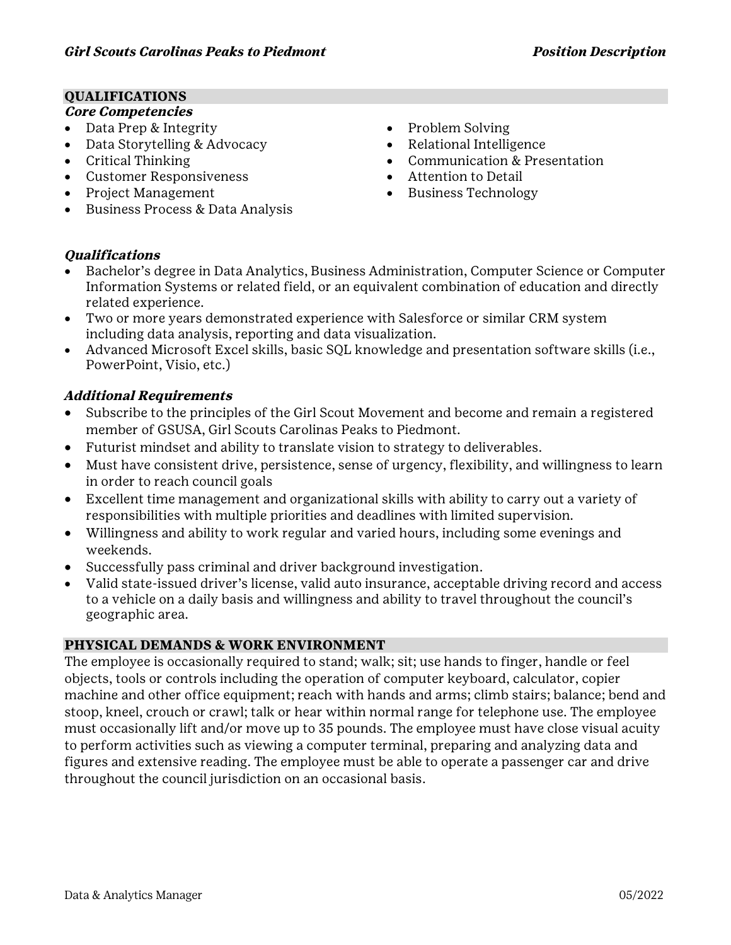# **QUALIFICATIONS**

# **Core Competencies**

- Data Prep & Integrity
- Data Storytelling & Advocacy
- · Critical Thinking
- · Customer Responsiveness
- · Project Management
- · Business Process & Data Analysis
- Problem Solving
- Relational Intelligence
- · Communication & Presentation
- · Attention to Detail
- · Business Technology

## **Qualifications**

- · Bachelor's degree in Data Analytics, Business Administration, Computer Science or Computer Information Systems or related field, or an equivalent combination of education and directly related experience.
- · Two or more years demonstrated experience with Salesforce or similar CRM system including data analysis, reporting and data visualization.
- · Advanced Microsoft Excel skills, basic SQL knowledge and presentation software skills (i.e., PowerPoint, Visio, etc.)

# **Additional Requirements**

- Subscribe to the principles of the Girl Scout Movement and become and remain a registered member of GSUSA, Girl Scouts Carolinas Peaks to Piedmont.
- · Futurist mindset and ability to translate vision to strategy to deliverables.
- · Must have consistent drive, persistence, sense of urgency, flexibility, and willingness to learn in order to reach council goals
- · Excellent time management and organizational skills with ability to carry out a variety of responsibilities with multiple priorities and deadlines with limited supervision.
- · Willingness and ability to work regular and varied hours, including some evenings and weekends.
- · Successfully pass criminal and driver background investigation.
- · Valid state-issued driver's license, valid auto insurance, acceptable driving record and access to a vehicle on a daily basis and willingness and ability to travel throughout the council's geographic area.

## **PHYSICAL DEMANDS & WORK ENVIRONMENT**

The employee is occasionally required to stand; walk; sit; use hands to finger, handle or feel objects, tools or controls including the operation of computer keyboard, calculator, copier machine and other office equipment; reach with hands and arms; climb stairs; balance; bend and stoop, kneel, crouch or crawl; talk or hear within normal range for telephone use. The employee must occasionally lift and/or move up to 35 pounds. The employee must have close visual acuity to perform activities such as viewing a computer terminal, preparing and analyzing data and figures and extensive reading. The employee must be able to operate a passenger car and drive throughout the council jurisdiction on an occasional basis.